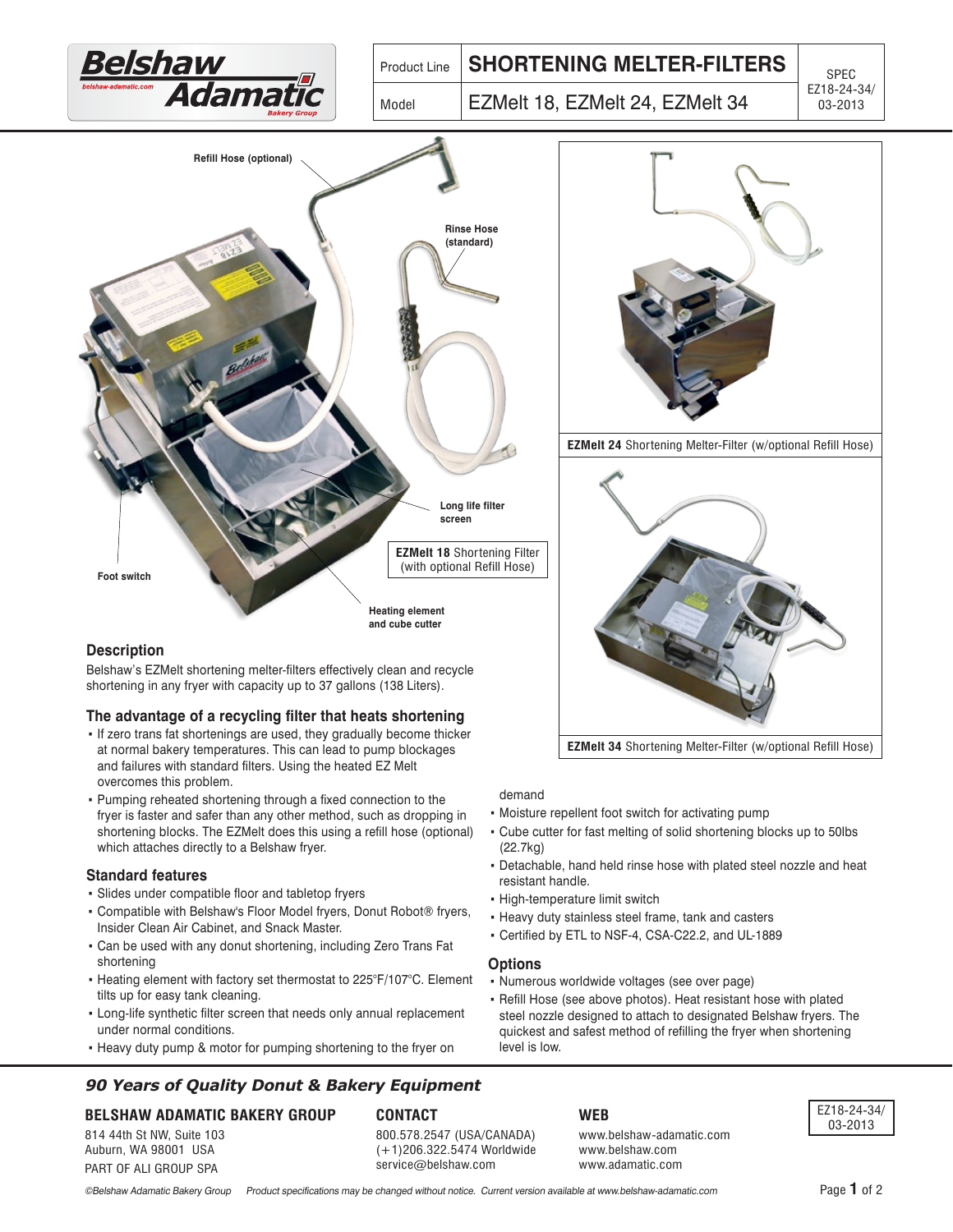

# **The advantage of a recycling filter that heats shortening**

- . If zero trans fat shortenings are used, they gradually become thicker at normal bakery temperatures. This can lead to pump blockages and failures with standard filters. Using the heated EZ Melt overcomes this problem.
- Pumping reheated shortening through a fixed connection to the fryer is faster and safer than any other method, such as dropping in shortening blocks. The EZMelt does this using a refill hose (optional) which attaches directly to a Belshaw fryer.

#### **Standard features**

- Slides under compatible floor and tabletop fryers
- Compatible with Belshaw's Floor Model fryers, Donut Robot® fryers, Insider Clean Air Cabinet, and Snack Master.
- Can be used with any donut shortening, including Zero Trans Fat shortening
- Heating element with factory set thermostat to 225°F/107°C. Element tilts up for easy tank cleaning.
- Long-life synthetic filter screen that needs only annual replacement under normal conditions.
- Heavy duty pump & motor for pumping shortening to the fryer on

# **90 Years of Quality Donut & Bakery Equipment**

#### **BELSHAW ADAMATIC BAKERY GROUP**

814 44th St NW, Suite 103 Auburn, WA 98001 USA PART OF ALI GROUP SPA

#### **CONTACT**

800.578.2547 (USA/CANADA) (+1)206.322.5474 Worldwide service@belshaw.com

**WFR web**

www.belshaw-adamatic.com www.belshaw.com www.adamatic.com

EZ18-24-34/ 03-2013

demand

- Moisture repellent foot switch for activating pump
- Cube cutter for fast melting of solid shortening blocks up to 50lbs (22.7kg)

**EZMelt 34** Shortening Melter-Filter (w/optional Refill Hose)

- Detachable, hand held rinse hose with plated steel nozzle and heat resistant handle.
- High-temperature limit switch
- Heavy duty stainless steel frame, tank and casters
- Certified by ETL to NSF-4, CSA-C22.2, and UL-1889

#### **Options**

- Numerous worldwide voltages (see over page)
- Refill Hose (see above photos). Heat resistant hose with plated steel nozzle designed to attach to designated Belshaw fryers. The quickest and safest method of refilling the fryer when shortening level is low.